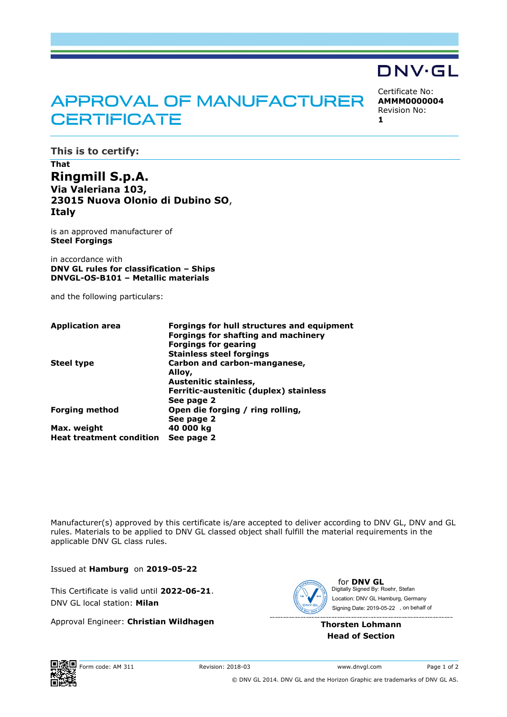# **APPROVAL OF MANUFACTURER CERTIFICATE**

Certificate No: **AMMM0000004** Revision No: **1**

DNV·GL

**This is to certify:**

**That Ringmill S.p.A. Via Valeriana 103, 23015 Nuova Olonio di Dubino SO**, **Italy**

is an approved manufacturer of **Steel Forgings**

in accordance with **DNV GL rules for classification – Ships DNVGL-OS-B101 – Metallic materials**

and the following particulars:

| <b>Application area</b>         | Forgings for hull structures and equipment<br><b>Forgings for shafting and machinery</b> |
|---------------------------------|------------------------------------------------------------------------------------------|
|                                 | <b>Forgings for gearing</b>                                                              |
|                                 | <b>Stainless steel forgings</b>                                                          |
| <b>Steel type</b>               | Carbon and carbon-manganese,                                                             |
|                                 | Alloy,                                                                                   |
|                                 | Austenitic stainless,                                                                    |
|                                 | Ferritic-austenitic (duplex) stainless                                                   |
|                                 | See page 2                                                                               |
| <b>Forging method</b>           | Open die forging / ring rolling,                                                         |
|                                 | See page 2                                                                               |
| Max. weight                     | 40 000 kg                                                                                |
| <b>Heat treatment condition</b> | See page 2                                                                               |

Manufacturer(s) approved by this certificate is/are accepted to deliver according to DNV GL, DNV and GL rules. Materials to be applied to DNV GL classed object shall fulfill the material requirements in the applicable DNV GL class rules.

Issued at **Hamburg** on **2019-05-22**

This Certificate is valid until **2022-06-21**. DNV GL local station: **Milan**

Approval Engineer: **Christian Wildhagen**



for **DNV GL** Signing Date: 2019-05-22 , on behalf ofDigitally Signed By: Roehr, Stefan Location: DNV GL Hamburg, Germany

**Thorsten Lohmann Head of Section**



© DNV GL 2014. DNV GL and the Horizon Graphic are trademarks of DNV GL AS.